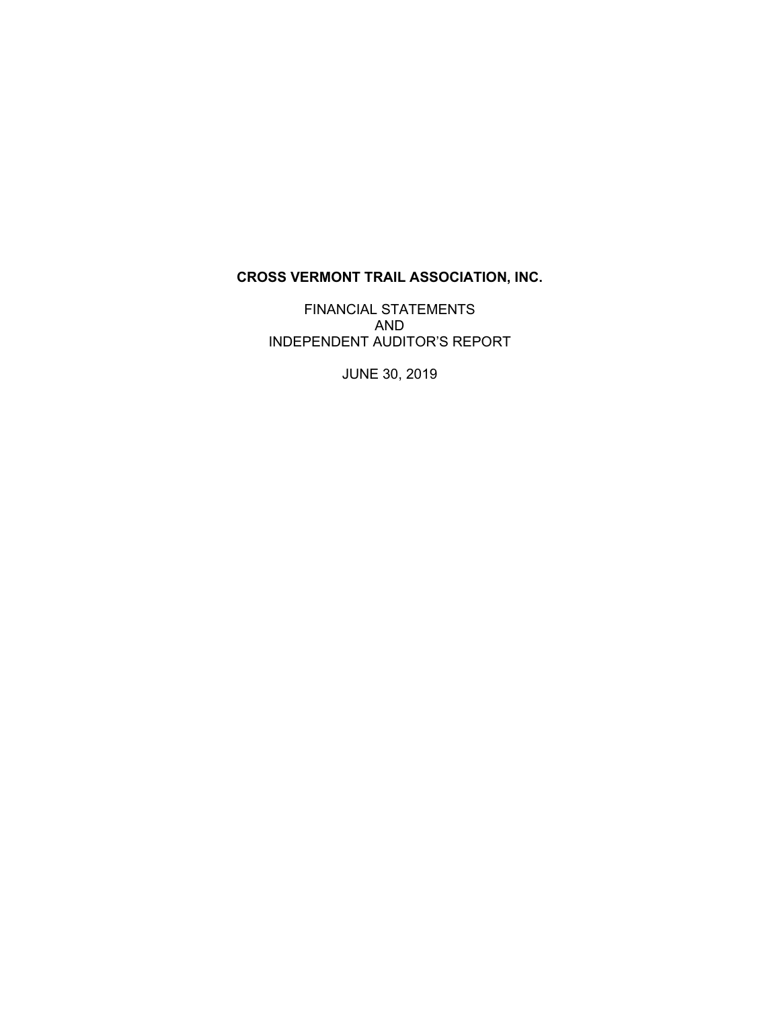## **CROSS VERMONT TRAIL ASSOCIATION, INC.**

FINANCIAL STATEMENTS AND INDEPENDENT AUDITOR'S REPORT

JUNE 30, 2019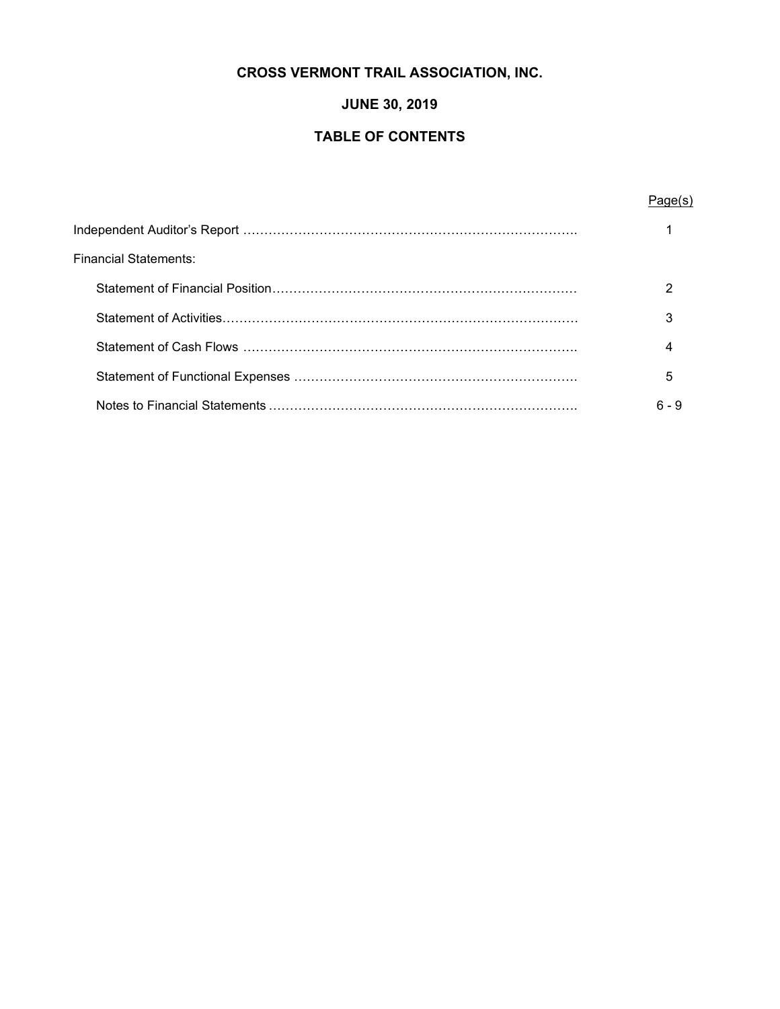## **CROSS VERMONT TRAIL ASSOCIATION, INC.**

## **JUNE 30, 2019**

## **TABLE OF CONTENTS**

### Page(s)

| Financial Statements: |       |
|-----------------------|-------|
|                       |       |
|                       |       |
|                       |       |
|                       | 5     |
|                       | հ - 9 |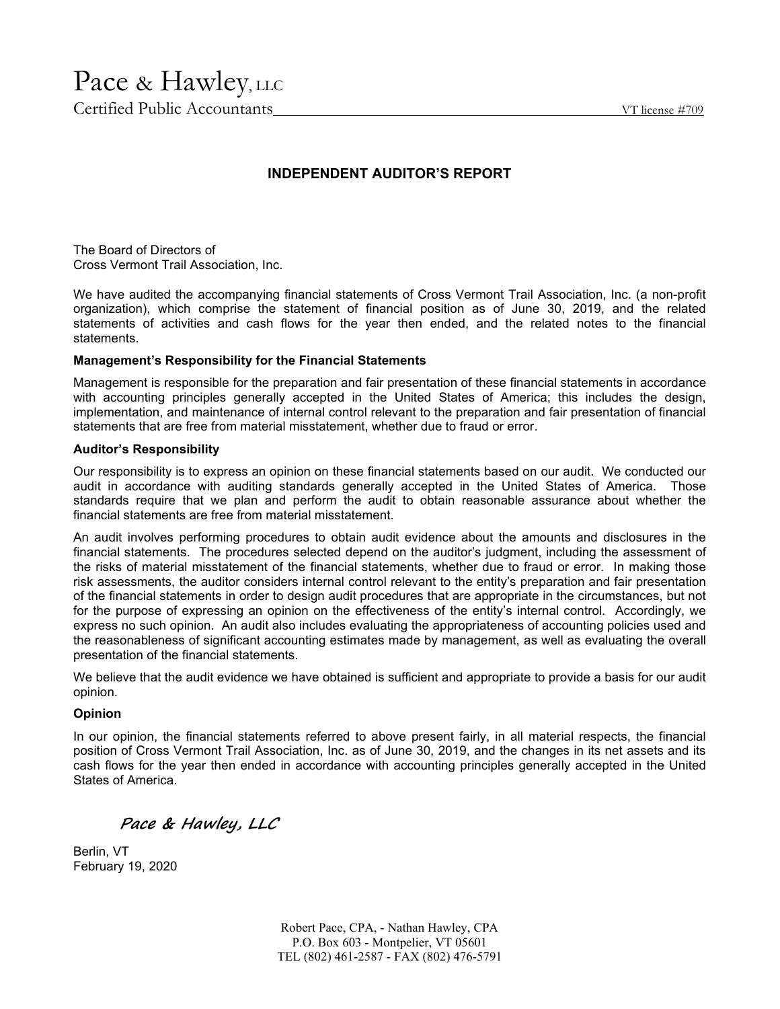# Pace & Hawley, LLC

Certified Public Accountants VT license #709

## **INDEPENDENT AUDITOR'S REPORT**

The Board of Directors of Cross Vermont Trail Association, Inc.

We have audited the accompanying financial statements of Cross Vermont Trail Association, Inc. (a non-profit organization), which comprise the statement of financial position as of June 30, 2019, and the related statements of activities and cash flows for the year then ended, and the related notes to the financial statements.

#### **Management's Responsibility for the Financial Statements**

Management is responsible for the preparation and fair presentation of these financial statements in accordance with accounting principles generally accepted in the United States of America; this includes the design, implementation, and maintenance of internal control relevant to the preparation and fair presentation of financial statements that are free from material misstatement, whether due to fraud or error.

#### **Auditor's Responsibility**

Our responsibility is to express an opinion on these financial statements based on our audit. We conducted our audit in accordance with auditing standards generally accepted in the United States of America. Those standards require that we plan and perform the audit to obtain reasonable assurance about whether the financial statements are free from material misstatement.

An audit involves performing procedures to obtain audit evidence about the amounts and disclosures in the financial statements. The procedures selected depend on the auditor's judgment, including the assessment of the risks of material misstatement of the financial statements, whether due to fraud or error. In making those risk assessments, the auditor considers internal control relevant to the entity's preparation and fair presentation of the financial statements in order to design audit procedures that are appropriate in the circumstances, but not for the purpose of expressing an opinion on the effectiveness of the entity's internal control. Accordingly, we express no such opinion. An audit also includes evaluating the appropriateness of accounting policies used and the reasonableness of significant accounting estimates made by management, as well as evaluating the overall presentation of the financial statements.

We believe that the audit evidence we have obtained is sufficient and appropriate to provide a basis for our audit opinion.

#### **Opinion**

In our opinion, the financial statements referred to above present fairly, in all material respects, the financial position of Cross Vermont Trail Association, Inc. as of June 30, 2019, and the changes in its net assets and its cash flows for the year then ended in accordance with accounting principles generally accepted in the United States of America.

**Pace & Hawley, LLC** 

Berlin, VT February 19, 2020

> Robert Pace, CPA, - Nathan Hawley, CPA P.O. Box 603 - Montpelier, VT 05601 TEL (802) 461-2587 - FAX (802) 476-5791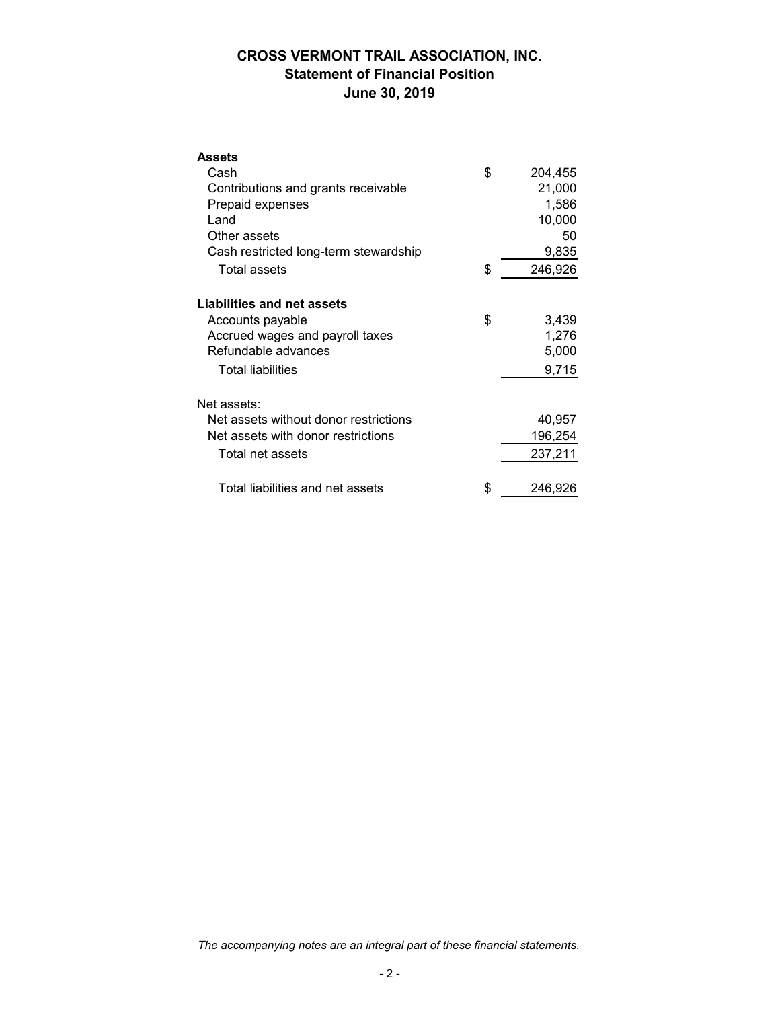## **CROSS VERMONT TRAIL ASSOCIATION, INC. Statement of Financial Position June 30, 2019**

| <b>Assets</b>                         |               |
|---------------------------------------|---------------|
| Cash                                  | \$<br>204,455 |
| Contributions and grants receivable   | 21,000        |
| Prepaid expenses                      | 1,586         |
| Land                                  | 10,000        |
| Other assets                          | 50            |
| Cash restricted long-term stewardship | 9,835         |
| Total assets                          | \$<br>246,926 |
| Liabilities and net assets            |               |
| Accounts payable                      | \$<br>3,439   |
| Accrued wages and payroll taxes       | 1,276         |
| Refundable advances                   | 5,000         |
| <b>Total liabilities</b>              | 9,715         |
| Net assets:                           |               |
| Net assets without donor restrictions | 40,957        |
| Net assets with donor restrictions    | 196,254       |
| Total net assets                      | 237,211       |
| Total liabilities and net assets      | \$<br>246,926 |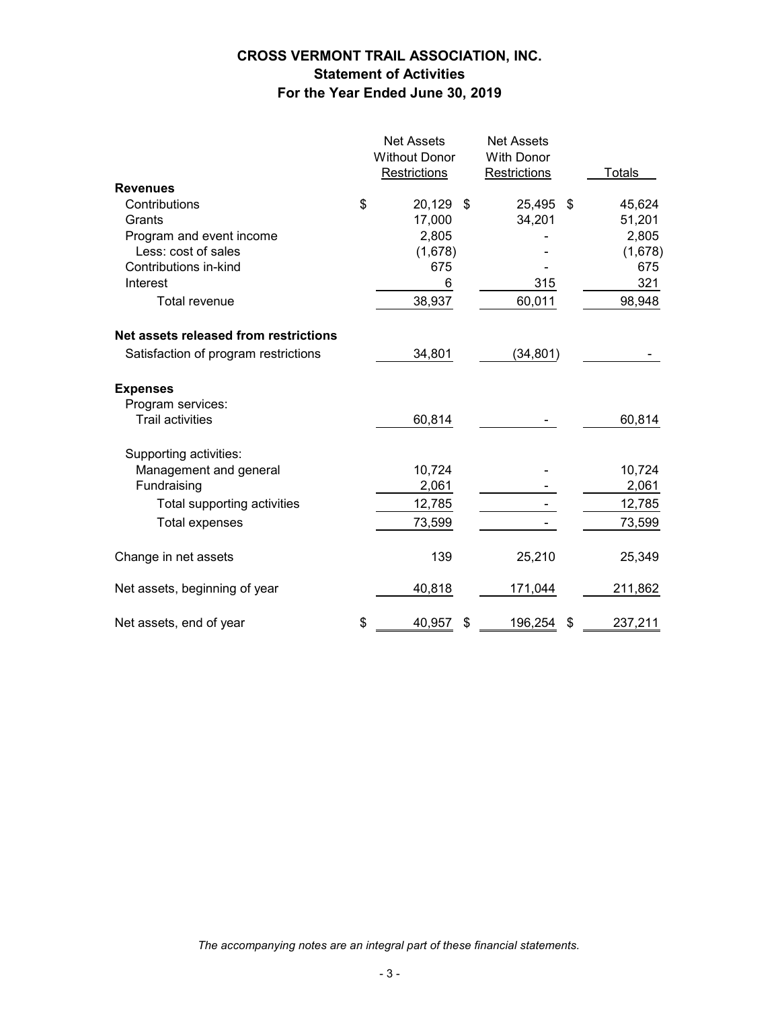## **CROSS VERMONT TRAIL ASSOCIATION, INC. Statement of Activities For the Year Ended June 30, 2019**

|                                       | <b>Net Assets</b>    | <b>Net Assets</b> |     |         |
|---------------------------------------|----------------------|-------------------|-----|---------|
|                                       | <b>Without Donor</b> | <b>With Donor</b> |     |         |
|                                       | Restrictions         | Restrictions      |     | Totals  |
| <b>Revenues</b>                       |                      |                   |     |         |
| Contributions                         | \$<br>20,129         | \$<br>25,495      | -\$ | 45,624  |
| Grants                                | 17,000               | 34,201            |     | 51,201  |
| Program and event income              | 2,805                |                   |     | 2,805   |
| Less: cost of sales                   | (1,678)              |                   |     | (1,678) |
| Contributions in-kind                 | 675                  |                   |     | 675     |
| Interest                              | 6                    | 315               |     | 321     |
| Total revenue                         | 38,937               | 60,011            |     | 98,948  |
| Net assets released from restrictions |                      |                   |     |         |
| Satisfaction of program restrictions  | 34,801               | (34,801)          |     |         |
| <b>Expenses</b>                       |                      |                   |     |         |
| Program services:                     |                      |                   |     |         |
| <b>Trail activities</b>               | 60,814               |                   |     | 60,814  |
| Supporting activities:                |                      |                   |     |         |
| Management and general                | 10,724               |                   |     | 10,724  |
| Fundraising                           | 2,061                |                   |     | 2,061   |
| Total supporting activities           | 12,785               |                   |     | 12,785  |
| <b>Total expenses</b>                 | 73,599               |                   |     | 73,599  |
| Change in net assets                  | 139                  | 25,210            |     | 25,349  |
| Net assets, beginning of year         | 40,818               | 171,044           |     | 211,862 |
| Net assets, end of year               | \$<br>40,957         | \$<br>196,254     | \$  | 237,211 |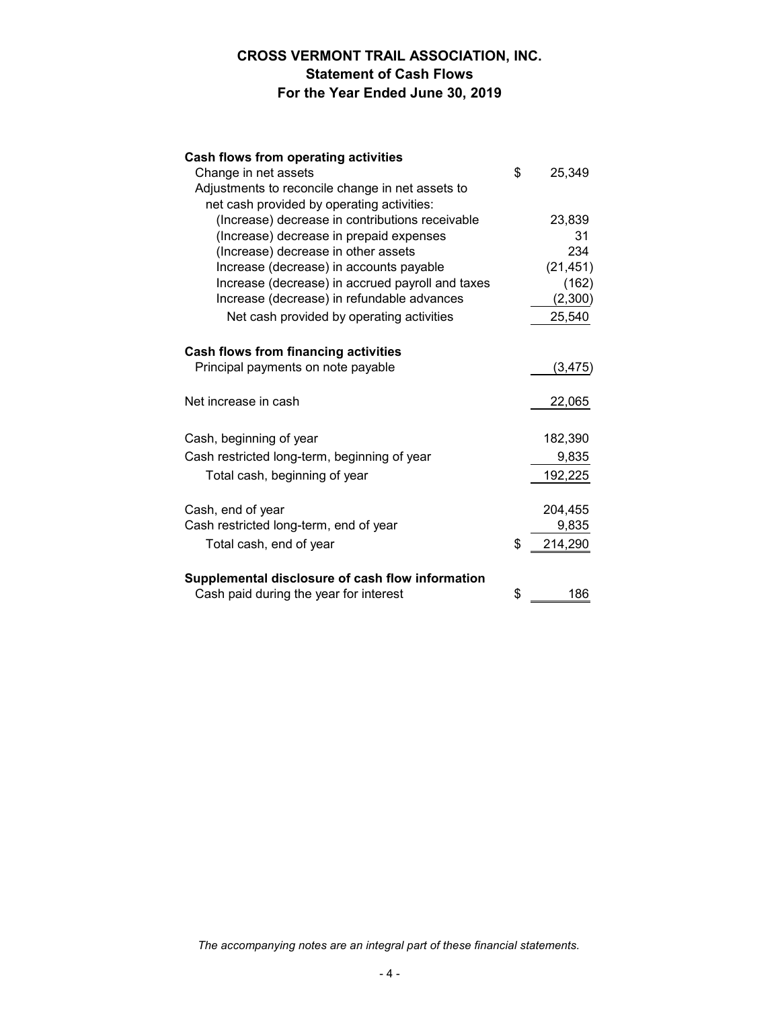## **CROSS VERMONT TRAIL ASSOCIATION, INC. Statement of Cash Flows For the Year Ended June 30, 2019**

| Cash flows from operating activities             |               |
|--------------------------------------------------|---------------|
| Change in net assets                             | \$<br>25,349  |
| Adjustments to reconcile change in net assets to |               |
| net cash provided by operating activities:       |               |
| (Increase) decrease in contributions receivable  | 23,839        |
| (Increase) decrease in prepaid expenses          | 31            |
| (Increase) decrease in other assets              | 234           |
| Increase (decrease) in accounts payable          | (21, 451)     |
| Increase (decrease) in accrued payroll and taxes | (162)         |
| Increase (decrease) in refundable advances       | (2,300)       |
| Net cash provided by operating activities        | 25,540        |
|                                                  |               |
| Cash flows from financing activities             |               |
| Principal payments on note payable               | (3, 475)      |
|                                                  |               |
| Net increase in cash                             | 22,065        |
| Cash, beginning of year                          | 182,390       |
| Cash restricted long-term, beginning of year     | 9,835         |
|                                                  |               |
| Total cash, beginning of year                    | 192,225       |
| Cash, end of year                                | 204,455       |
| Cash restricted long-term, end of year           | 9,835         |
| Total cash, end of year                          | \$<br>214,290 |
|                                                  |               |
| Supplemental disclosure of cash flow information |               |
| Cash paid during the year for interest           | \$<br>186     |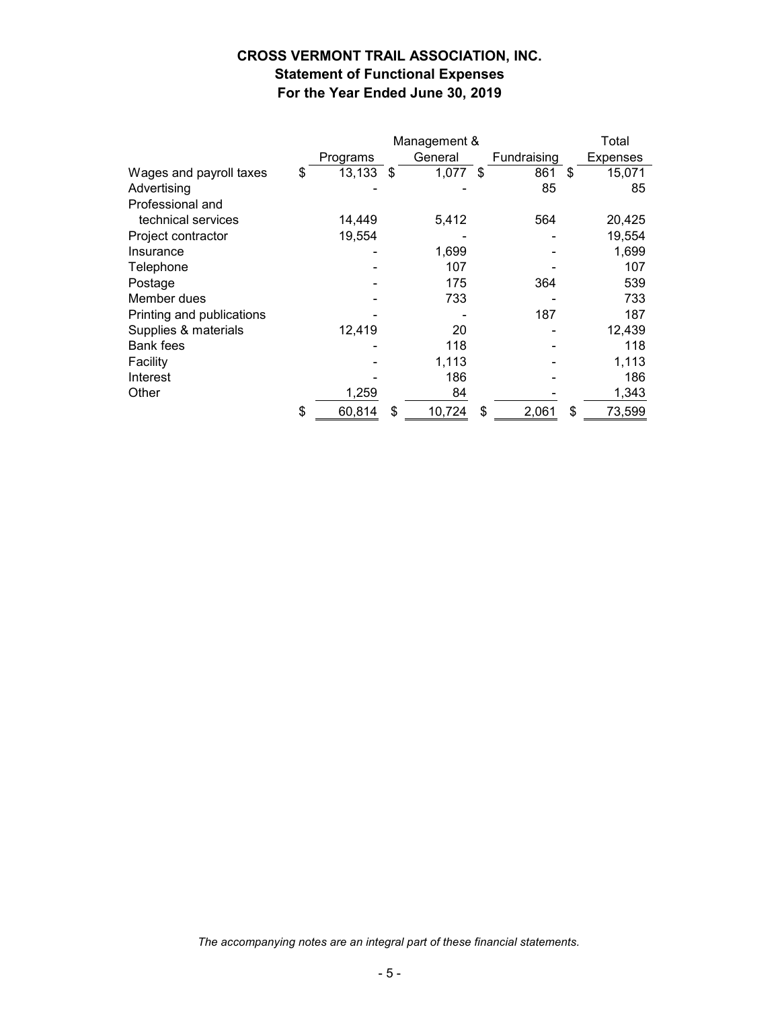## **CROSS VERMONT TRAIL ASSOCIATION, INC. Statement of Functional Expenses For the Year Ended June 30, 2019**

|                           | Management &      |    |            |    | Total       |    |                 |
|---------------------------|-------------------|----|------------|----|-------------|----|-----------------|
|                           | Programs          |    | General    |    | Fundraising |    | <b>Expenses</b> |
| Wages and payroll taxes   | \$<br>$13,133$ \$ |    | $1,077$ \$ |    | 861         | S  | 15,071          |
| Advertising               |                   |    |            |    | 85          |    | 85              |
| Professional and          |                   |    |            |    |             |    |                 |
| technical services        | 14,449            |    | 5,412      |    | 564         |    | 20,425          |
| Project contractor        | 19,554            |    |            |    |             |    | 19,554          |
| Insurance                 |                   |    | 1,699      |    |             |    | 1,699           |
| Telephone                 |                   |    | 107        |    |             |    | 107             |
| Postage                   |                   |    | 175        |    | 364         |    | 539             |
| Member dues               |                   |    | 733        |    |             |    | 733             |
| Printing and publications |                   |    |            |    | 187         |    | 187             |
| Supplies & materials      | 12,419            |    | 20         |    |             |    | 12,439          |
| <b>Bank fees</b>          |                   |    | 118        |    |             |    | 118             |
| Facility                  |                   |    | 1,113      |    |             |    | 1,113           |
| Interest                  |                   |    | 186        |    |             |    | 186             |
| Other                     | 1,259             |    | 84         |    |             |    | 1,343           |
|                           | \$<br>60,814      | \$ | 10,724     | \$ | 2,061       | \$ | 73,599          |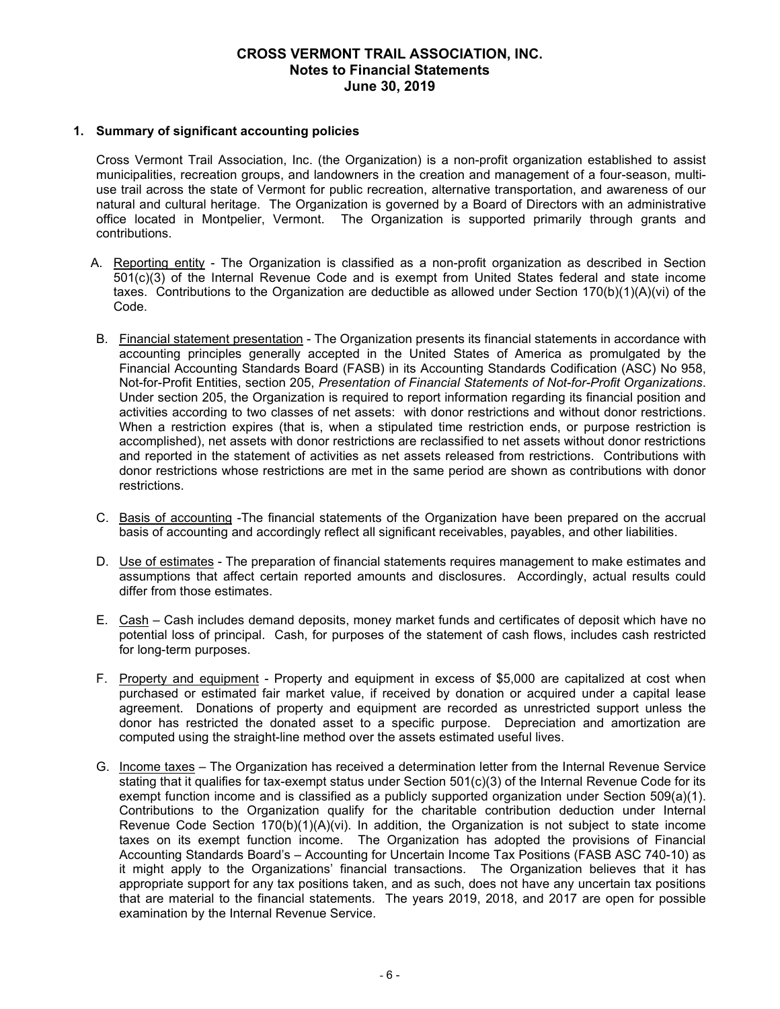#### **1. Summary of significant accounting policies**

Cross Vermont Trail Association, Inc. (the Organization) is a non-profit organization established to assist municipalities, recreation groups, and landowners in the creation and management of a four-season, multiuse trail across the state of Vermont for public recreation, alternative transportation, and awareness of our natural and cultural heritage. The Organization is governed by a Board of Directors with an administrative office located in Montpelier, Vermont. The Organization is supported primarily through grants and contributions.

- A. Reporting entity The Organization is classified as a non-profit organization as described in Section 501(c)(3) of the Internal Revenue Code and is exempt from United States federal and state income taxes. Contributions to the Organization are deductible as allowed under Section 170(b)(1)(A)(vi) of the Code.
- B. Financial statement presentation The Organization presents its financial statements in accordance with accounting principles generally accepted in the United States of America as promulgated by the Financial Accounting Standards Board (FASB) in its Accounting Standards Codification (ASC) No 958, Not-for-Profit Entities, section 205, *Presentation of Financial Statements of Not-for-Profit Organizations*. Under section 205, the Organization is required to report information regarding its financial position and activities according to two classes of net assets: with donor restrictions and without donor restrictions. When a restriction expires (that is, when a stipulated time restriction ends, or purpose restriction is accomplished), net assets with donor restrictions are reclassified to net assets without donor restrictions and reported in the statement of activities as net assets released from restrictions. Contributions with donor restrictions whose restrictions are met in the same period are shown as contributions with donor restrictions.
- C. Basis of accounting -The financial statements of the Organization have been prepared on the accrual basis of accounting and accordingly reflect all significant receivables, payables, and other liabilities.
- D. Use of estimates The preparation of financial statements requires management to make estimates and assumptions that affect certain reported amounts and disclosures. Accordingly, actual results could differ from those estimates.
- E. Cash Cash includes demand deposits, money market funds and certificates of deposit which have no potential loss of principal. Cash, for purposes of the statement of cash flows, includes cash restricted for long-term purposes.
- F. Property and equipment Property and equipment in excess of \$5,000 are capitalized at cost when purchased or estimated fair market value, if received by donation or acquired under a capital lease agreement. Donations of property and equipment are recorded as unrestricted support unless the donor has restricted the donated asset to a specific purpose. Depreciation and amortization are computed using the straight-line method over the assets estimated useful lives.
- G. Income taxes The Organization has received a determination letter from the Internal Revenue Service stating that it qualifies for tax-exempt status under Section 501(c)(3) of the Internal Revenue Code for its exempt function income and is classified as a publicly supported organization under Section 509(a)(1). Contributions to the Organization qualify for the charitable contribution deduction under Internal Revenue Code Section  $170(b)(1)(A)(vi)$ . In addition, the Organization is not subject to state income taxes on its exempt function income. The Organization has adopted the provisions of Financial Accounting Standards Board's – Accounting for Uncertain Income Tax Positions (FASB ASC 740-10) as it might apply to the Organizations' financial transactions. The Organization believes that it has appropriate support for any tax positions taken, and as such, does not have any uncertain tax positions that are material to the financial statements. The years 2019, 2018, and 2017 are open for possible examination by the Internal Revenue Service.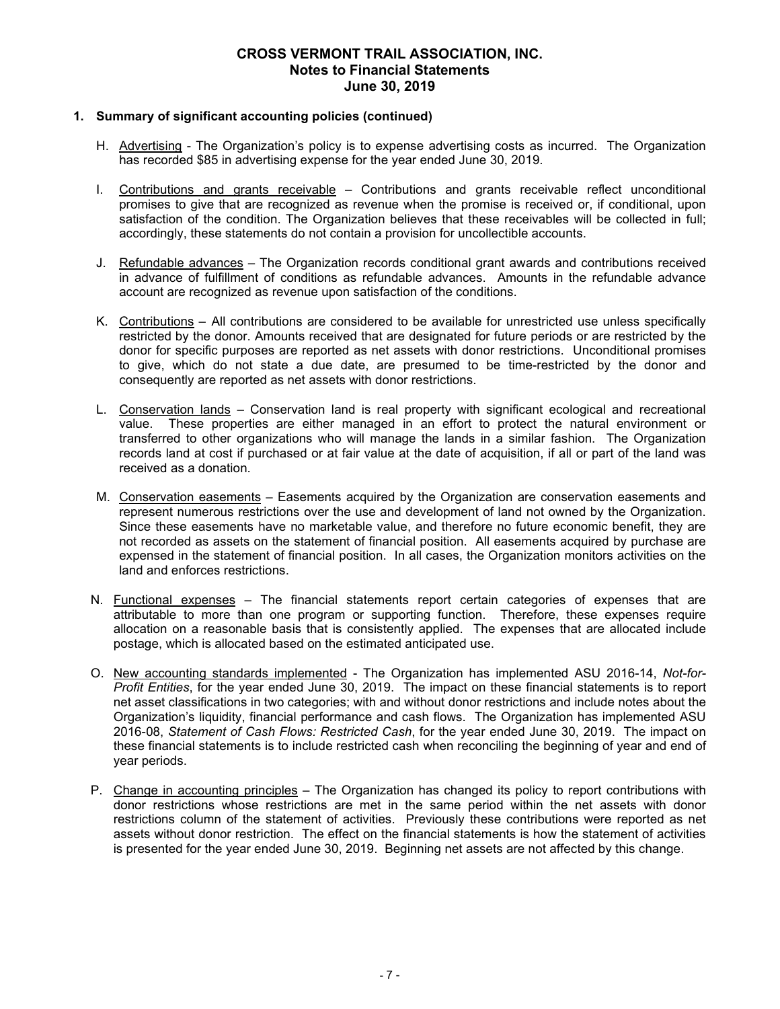#### **1. Summary of significant accounting policies (continued)**

- H. Advertising The Organization's policy is to expense advertising costs as incurred. The Organization has recorded \$85 in advertising expense for the year ended June 30, 2019.
- I. Contributions and grants receivable Contributions and grants receivable reflect unconditional promises to give that are recognized as revenue when the promise is received or, if conditional, upon satisfaction of the condition. The Organization believes that these receivables will be collected in full; accordingly, these statements do not contain a provision for uncollectible accounts.
- J. Refundable advances The Organization records conditional grant awards and contributions received in advance of fulfillment of conditions as refundable advances. Amounts in the refundable advance account are recognized as revenue upon satisfaction of the conditions.
- K. Contributions All contributions are considered to be available for unrestricted use unless specifically restricted by the donor. Amounts received that are designated for future periods or are restricted by the donor for specific purposes are reported as net assets with donor restrictions. Unconditional promises to give, which do not state a due date, are presumed to be time-restricted by the donor and consequently are reported as net assets with donor restrictions.
- L. Conservation lands Conservation land is real property with significant ecological and recreational value. These properties are either managed in an effort to protect the natural environment or transferred to other organizations who will manage the lands in a similar fashion. The Organization records land at cost if purchased or at fair value at the date of acquisition, if all or part of the land was received as a donation.
- M. Conservation easements Easements acquired by the Organization are conservation easements and represent numerous restrictions over the use and development of land not owned by the Organization. Since these easements have no marketable value, and therefore no future economic benefit, they are not recorded as assets on the statement of financial position. All easements acquired by purchase are expensed in the statement of financial position. In all cases, the Organization monitors activities on the land and enforces restrictions.
- N. Functional expenses The financial statements report certain categories of expenses that are attributable to more than one program or supporting function. Therefore, these expenses require allocation on a reasonable basis that is consistently applied. The expenses that are allocated include postage, which is allocated based on the estimated anticipated use.
- O. New accounting standards implemented The Organization has implemented ASU 2016-14, *Not-for-Profit Entities*, for the year ended June 30, 2019. The impact on these financial statements is to report net asset classifications in two categories; with and without donor restrictions and include notes about the Organization's liquidity, financial performance and cash flows. The Organization has implemented ASU 2016-08, *Statement of Cash Flows: Restricted Cash*, for the year ended June 30, 2019. The impact on these financial statements is to include restricted cash when reconciling the beginning of year and end of year periods.
- P. Change in accounting principles The Organization has changed its policy to report contributions with donor restrictions whose restrictions are met in the same period within the net assets with donor restrictions column of the statement of activities. Previously these contributions were reported as net assets without donor restriction. The effect on the financial statements is how the statement of activities is presented for the year ended June 30, 2019. Beginning net assets are not affected by this change.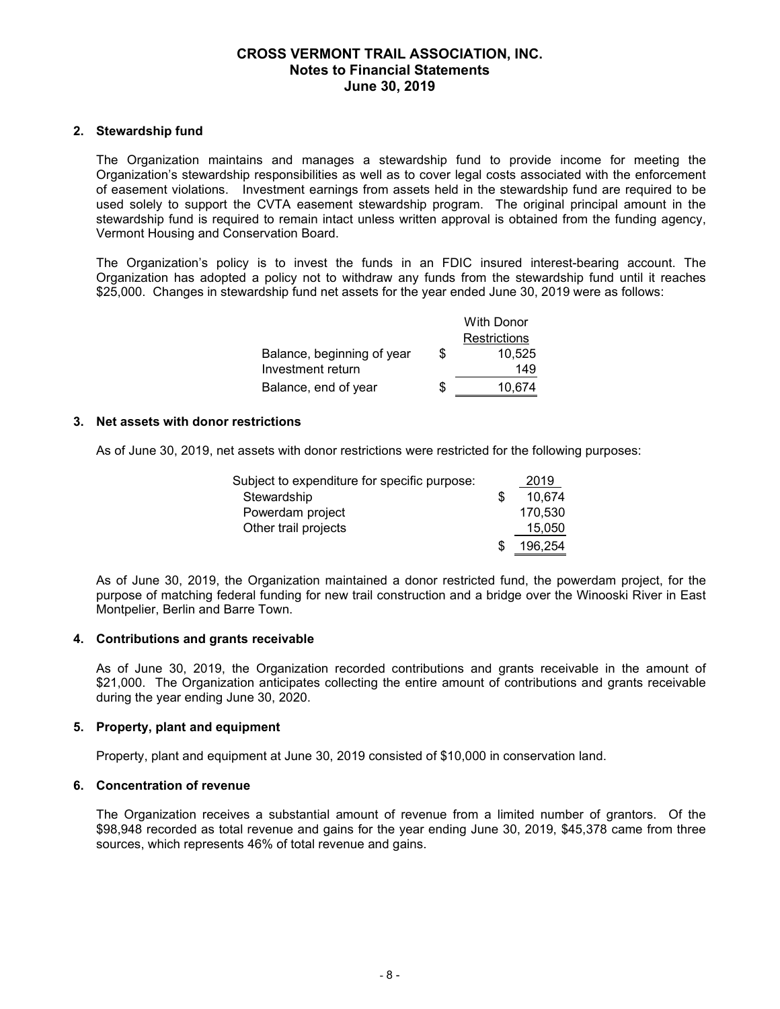#### **2. Stewardship fund**

The Organization maintains and manages a stewardship fund to provide income for meeting the Organization's stewardship responsibilities as well as to cover legal costs associated with the enforcement of easement violations. Investment earnings from assets held in the stewardship fund are required to be used solely to support the CVTA easement stewardship program. The original principal amount in the stewardship fund is required to remain intact unless written approval is obtained from the funding agency, Vermont Housing and Conservation Board.

The Organization's policy is to invest the funds in an FDIC insured interest-bearing account. The Organization has adopted a policy not to withdraw any funds from the stewardship fund until it reaches \$25,000. Changes in stewardship fund net assets for the year ended June 30, 2019 were as follows:

|                            |    | With Donor<br><b>Restrictions</b> |
|----------------------------|----|-----------------------------------|
| Balance, beginning of year | \$ | 10.525                            |
| Investment return          |    | 149                               |
| Balance, end of year       | S  | 10.674                            |

#### **3. Net assets with donor restrictions**

As of June 30, 2019, net assets with donor restrictions were restricted for the following purposes:

| Subject to expenditure for specific purpose: |     | 2019    |
|----------------------------------------------|-----|---------|
| Stewardship                                  | \$. | 10.674  |
| Powerdam project                             |     | 170.530 |
| Other trail projects                         |     | 15.050  |
|                                              | \$. | 196.254 |

As of June 30, 2019, the Organization maintained a donor restricted fund, the powerdam project, for the purpose of matching federal funding for new trail construction and a bridge over the Winooski River in East Montpelier, Berlin and Barre Town.

#### **4. Contributions and grants receivable**

As of June 30, 2019, the Organization recorded contributions and grants receivable in the amount of \$21,000. The Organization anticipates collecting the entire amount of contributions and grants receivable during the year ending June 30, 2020.

#### **5. Property, plant and equipment**

Property, plant and equipment at June 30, 2019 consisted of \$10,000 in conservation land.

#### **6. Concentration of revenue**

The Organization receives a substantial amount of revenue from a limited number of grantors. Of the \$98,948 recorded as total revenue and gains for the year ending June 30, 2019, \$45,378 came from three sources, which represents 46% of total revenue and gains.